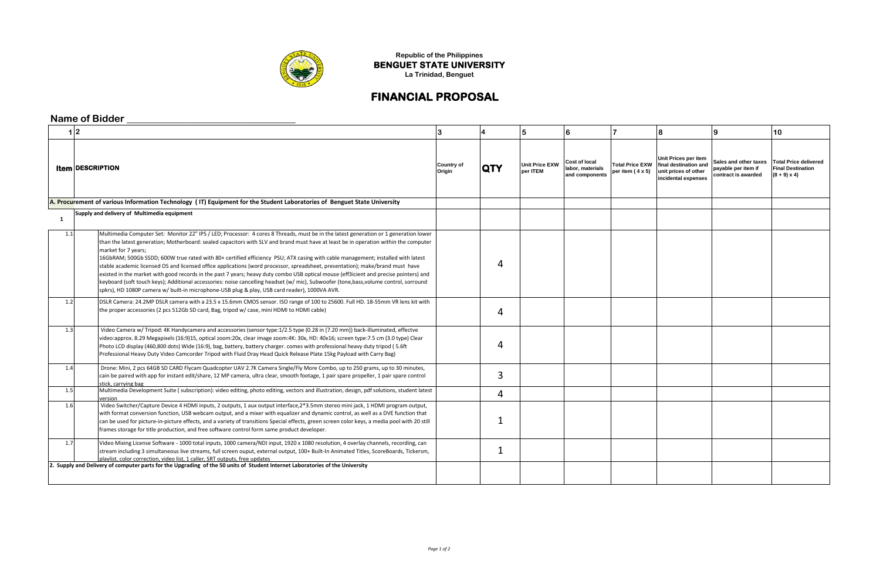

**Republic of the Philippines BENGUET STATE UNIVERSITY La Trinidad, Benguet**

## **FINANCIAL PROPOSAL**

## **Name of Bidder \_\_\_\_\_\_\_\_\_\_\_\_\_\_\_\_\_\_\_\_\_\_\_\_\_\_\_\_\_\_\_\_\_\_**

|                                                                                                                          | $1\overline{2}$                                                                                                                                                                                                                                                                                                                                                                                                                                                                                                                                                                                                                                                                                                                                                                                                                                                                                                                                           | 3                           |            | 5                          | 6                                                          | 17                                                | 8                                                                                            | 9                                                                   | 10                                                                             |
|--------------------------------------------------------------------------------------------------------------------------|-----------------------------------------------------------------------------------------------------------------------------------------------------------------------------------------------------------------------------------------------------------------------------------------------------------------------------------------------------------------------------------------------------------------------------------------------------------------------------------------------------------------------------------------------------------------------------------------------------------------------------------------------------------------------------------------------------------------------------------------------------------------------------------------------------------------------------------------------------------------------------------------------------------------------------------------------------------|-----------------------------|------------|----------------------------|------------------------------------------------------------|---------------------------------------------------|----------------------------------------------------------------------------------------------|---------------------------------------------------------------------|--------------------------------------------------------------------------------|
|                                                                                                                          | <b>Item DESCRIPTION</b>                                                                                                                                                                                                                                                                                                                                                                                                                                                                                                                                                                                                                                                                                                                                                                                                                                                                                                                                   | <b>Country of</b><br>Origin | <b>QTY</b> | Unit Price EXW<br>per ITEM | <b>Cost of local</b><br>labor, materials<br>and components | <b>Total Price EXW</b><br>per item $(4 \times 5)$ | Unit Prices per item<br>final destination and<br>unit prices of other<br>incidental expenses | Sales and other taxes<br>payable per item if<br>contract is awarded | <b>Total Price delivered</b><br><b>Final Destination</b><br>$(8 + 9) \times 4$ |
| A. Procurement of various Information Technology (IT) Equipment for the Student Laboratories of Benguet State University |                                                                                                                                                                                                                                                                                                                                                                                                                                                                                                                                                                                                                                                                                                                                                                                                                                                                                                                                                           |                             |            |                            |                                                            |                                                   |                                                                                              |                                                                     |                                                                                |
| 1                                                                                                                        | Supply and delivery of Multimedia equipment                                                                                                                                                                                                                                                                                                                                                                                                                                                                                                                                                                                                                                                                                                                                                                                                                                                                                                               |                             |            |                            |                                                            |                                                   |                                                                                              |                                                                     |                                                                                |
| 1.1                                                                                                                      | Multimedia Computer Set: Monitor 22" IPS / LED; Processor: 4 cores 8 Threads, must be in the latest generation or 1 generation lower<br>than the latest generation; Motherboard: sealed capacitors with SLV and brand must have at least be in operation within the computer<br>market for 7 years;<br>16GbRAM; 500Gb SSDD; 600W true rated with 80+ certified efficiency PSU; ATX casing with cable management; installed with latest<br>stable academic licensed OS and licensed office applications (word processor, spreadsheet, presentation); make/brand must have<br>existed in the market with good records in the past 7 years; heavy duty combo USB optical mouse (eff3icient and precise pointers) and<br>keyboard (soft touch keys); Additional accessories: noise cancelling headset (w/mic), Subwoofer (tone,bass,volume control, sorround<br>spkrs), HD 1080P camera w/ built-in microphone-USB plug & play, USB card reader), 1000VA AVR. |                             | 4          |                            |                                                            |                                                   |                                                                                              |                                                                     |                                                                                |
| 1.2                                                                                                                      | DSLR Camera: 24.2MP DSLR camera with a 23.5 x 15.6mm CMOS sensor. ISO range of 100 to 25600. Full HD. 18-55mm VR lens kit with<br>the proper accessories (2 pcs 512Gb SD card, Bag, tripod w/ case, mini HDMI to HDMI cable)                                                                                                                                                                                                                                                                                                                                                                                                                                                                                                                                                                                                                                                                                                                              |                             | 4          |                            |                                                            |                                                   |                                                                                              |                                                                     |                                                                                |
| 1.3                                                                                                                      | Video Camera w/ Tripod: 4K Handycamera and accessories (sensor type:1/2.5 type (0.28 in [7.20 mm]) back-illuminated, effectve<br>video:approx. 8.29 Megapixels (16:9)15, optical zoom:20x, clear image zoom:4K: 30x, HD: 40x16; screen type:7.5 cm (3.0 type) Clear<br>Photo LCD display (460,800 dots) Wide (16:9), bag, battery, battery charger. comes with professional heavy duty tripod (5.6ft<br>Professional Heavy Duty Video Camcorder Tripod with Fluid Dray Head Quick Release Plate 15kg Payload with Carry Bag)                                                                                                                                                                                                                                                                                                                                                                                                                              |                             | 4          |                            |                                                            |                                                   |                                                                                              |                                                                     |                                                                                |
| 1.4                                                                                                                      | Drone: Mini, 2 pcs 64GB SD CARD Flycam Quadcopter UAV 2.7K Camera Single/Fly More Combo, up to 250 grams, up to 30 minutes,<br>cain be paired with app for instant edit/share, 12 MP camera, ultra clear, smooth footage, 1 pair spare propeller, 1 pair spare control<br>stick, carrying bag                                                                                                                                                                                                                                                                                                                                                                                                                                                                                                                                                                                                                                                             |                             | 3          |                            |                                                            |                                                   |                                                                                              |                                                                     |                                                                                |
| 1.5                                                                                                                      | Multimedia Development Suite (subscription): video editing, photo editing, vectors and illustration, design, pdf solutions, student latest<br>version                                                                                                                                                                                                                                                                                                                                                                                                                                                                                                                                                                                                                                                                                                                                                                                                     |                             | 4          |                            |                                                            |                                                   |                                                                                              |                                                                     |                                                                                |
| 1.6                                                                                                                      | Video Switcher/Capture Device 4 HDMI inputs, 2 outputs, 1 aux output interface, 2*3.5mm stereo mini jack, 1 HDMI program output,<br>with format conversion function, USB webcam output, and a mixer with equalizer and dynamic control, as well as a DVE function that<br>can be used for picture-in-picture effects, and a variety of transitions Special effects, green screen color keys, a media pool with 20 still<br>frames storage for title production, and free software control form same product developer.                                                                                                                                                                                                                                                                                                                                                                                                                                    |                             | -1         |                            |                                                            |                                                   |                                                                                              |                                                                     |                                                                                |
| 1.7                                                                                                                      | Video Mixing License Software - 1000 total inputs, 1000 camera/NDI input, 1920 x 1080 resolution, 4 overlay channels, recording, can<br>stream including 3 simultaneous live streams, full screen ouput, external output, 100+ Built-In Animated Titles, ScoreBoards, Tickersm,<br>playlist, color correction, video list, 1 caller, SRT outputs, free updates<br>2. Supply and Delivery of computer parts for the Upgrading of the 50 units of Student Internet Laboratories of the University                                                                                                                                                                                                                                                                                                                                                                                                                                                           |                             | 1          |                            |                                                            |                                                   |                                                                                              |                                                                     |                                                                                |
|                                                                                                                          |                                                                                                                                                                                                                                                                                                                                                                                                                                                                                                                                                                                                                                                                                                                                                                                                                                                                                                                                                           |                             |            |                            |                                                            |                                                   |                                                                                              |                                                                     |                                                                                |